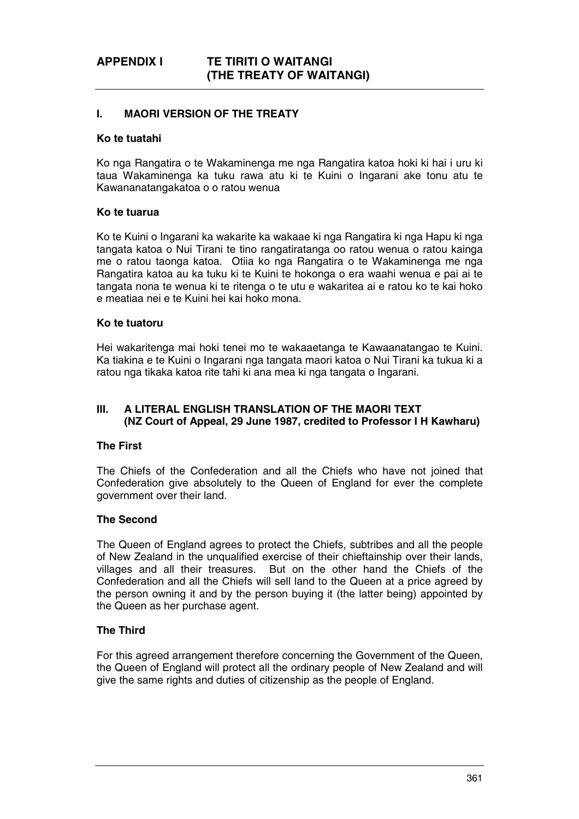# **I. MAORI VERSION OF THE TREATY**

## **Ko te tuatahi**

Ko nga Rangatira o te Wakaminenga me nga Rangatira katoa hoki ki hai i uru ki taua Wakaminenga ka tuku rawa atu ki te Kuini o Ingarani ake tonu atu te Kawananatangakatoa o o ratou wenua

#### **Ko te tuarua**

Ko te Kuini o Ingarani ka wakarite ka wakaae ki nga Rangatira ki nga Hapu ki nga tangata katoa o Nui Tirani te tino rangatiratanga oo ratou wenua o ratou kainga me o ratou taonga katoa. Otiia ko nga Rangatira o te Wakaminenga me nga Rangatira katoa au ka tuku ki te Kuini te hokonga o era waahi wenua e pai ai te tangata nona te wenua ki te ritenga o te utu e wakaritea ai e ratou ko te kai hoko e meatiaa nei e te Kuini hei kai hoko mona.

## **Ko te tuatoru**

Hei wakaritenga mai hoki tenei mo te wakaaetanga te Kawaanatangao te Kuini. Ka tiakina e te Kuini o Ingarani nga tangata maori katoa o Nui Tirani ka tukua ki a ratou nga tikaka katoa rite tahi ki ana mea ki nga tangata o Ingarani.

# **III. A LITERAL ENGLISH TRANSLATION OF THE MAORI TEXT (NZ Court of Appeal, 29 June 1987, credited to Professor I H Kawharu)**

### **The First**

The Chiefs of the Confederation and all the Chiefs who have not joined that Confederation give absolutely to the Queen of England for ever the complete government over their land.

#### **The Second**

The Queen of England agrees to protect the Chiefs, subtribes and all the people of New Zealand in the unqualified exercise of their chieftainship over their lands, villages and all their treasures. But on the other hand the Chiefs of the Confederation and all the Chiefs will sell land to the Queen at a price agreed by the person owning it and by the person buying it (the latter being) appointed by the Queen as her purchase agent.

# **The Third**

For this agreed arrangement therefore concerning the Government of the Queen, the Queen of England will protect all the ordinary people of New Zealand and will give the same rights and duties of citizenship as the people of England.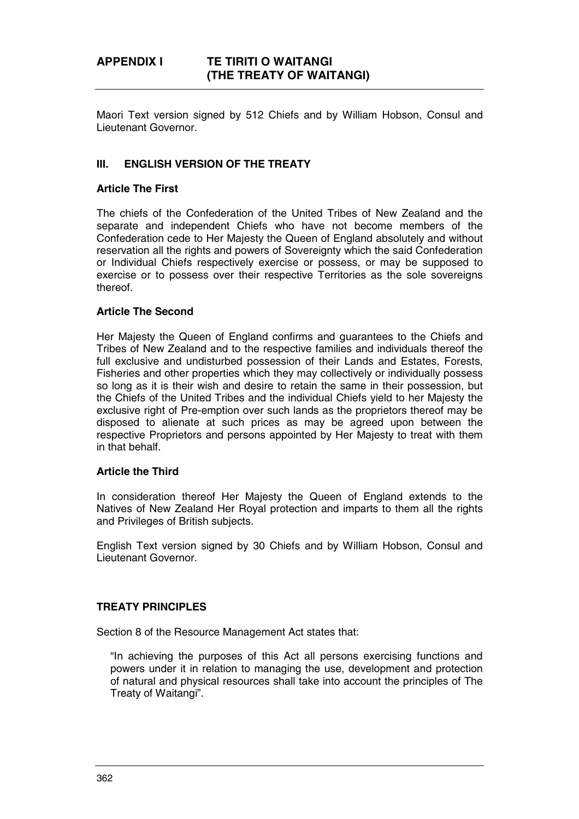Maori Text version signed by 512 Chiefs and by William Hobson, Consul and Lieutenant Governor.

## **III. ENGLISH VERSION OF THE TREATY**

#### **Article The First**

The chiefs of the Confederation of the United Tribes of New Zealand and the separate and independent Chiefs who have not become members of the Confederation cede to Her Majesty the Queen of England absolutely and without reservation all the rights and powers of Sovereignty which the said Confederation or Individual Chiefs respectively exercise or possess, or may be supposed to exercise or to possess over their respective Territories as the sole sovereigns thereof.

#### **Article The Second**

Her Majesty the Queen of England confirms and guarantees to the Chiefs and Tribes of New Zealand and to the respective families and individuals thereof the full exclusive and undisturbed possession of their Lands and Estates, Forests, Fisheries and other properties which they may collectively or individually possess so long as it is their wish and desire to retain the same in their possession, but the Chiefs of the United Tribes and the individual Chiefs yield to her Majesty the exclusive right of Pre-emption over such lands as the proprietors thereof may be disposed to alienate at such prices as may be agreed upon between the respective Proprietors and persons appointed by Her Majesty to treat with them in that behalf.

#### **Article the Third**

In consideration thereof Her Majesty the Queen of England extends to the Natives of New Zealand Her Royal protection and imparts to them all the rights and Privileges of British subjects.

English Text version signed by 30 Chiefs and by William Hobson, Consul and Lieutenant Governor.

#### **TREATY PRINCIPLES**

Section 8 of the Resource Management Act states that:

"In achieving the purposes of this Act all persons exercising functions and powers under it in relation to managing the use, development and protection of natural and physical resources shall take into account the principles of The Treaty of Waitangi".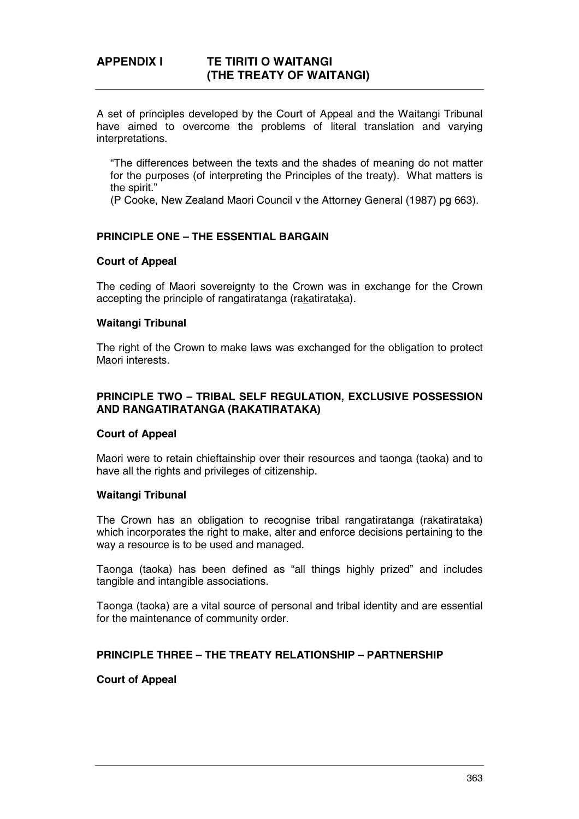A set of principles developed by the Court of Appeal and the Waitangi Tribunal have aimed to overcome the problems of literal translation and varying interpretations.

"The differences between the texts and the shades of meaning do not matter for the purposes (of interpreting the Principles of the treaty). What matters is the spirit."

(P Cooke, New Zealand Maori Council v the Attorney General (1987) pg 663).

## **PRINCIPLE ONE – THE ESSENTIAL BARGAIN**

#### **Court of Appeal**

The ceding of Maori sovereignty to the Crown was in exchange for the Crown accepting the principle of rangatiratanga (rakatirataka).

# **Waitangi Tribunal**

The right of the Crown to make laws was exchanged for the obligation to protect Maori interests.

## **PRINCIPLE TWO – TRIBAL SELF REGULATION, EXCLUSIVE POSSESSION AND RANGATIRATANGA (RAKATIRATAKA)**

#### **Court of Appeal**

Maori were to retain chieftainship over their resources and taonga (taoka) and to have all the rights and privileges of citizenship.

# **Waitangi Tribunal**

The Crown has an obligation to recognise tribal rangatiratanga (rakatirataka) which incorporates the right to make, alter and enforce decisions pertaining to the way a resource is to be used and managed.

Taonga (taoka) has been defined as "all things highly prized" and includes tangible and intangible associations.

Taonga (taoka) are a vital source of personal and tribal identity and are essential for the maintenance of community order.

#### **PRINCIPLE THREE – THE TREATY RELATIONSHIP – PARTNERSHIP**

#### **Court of Appeal**